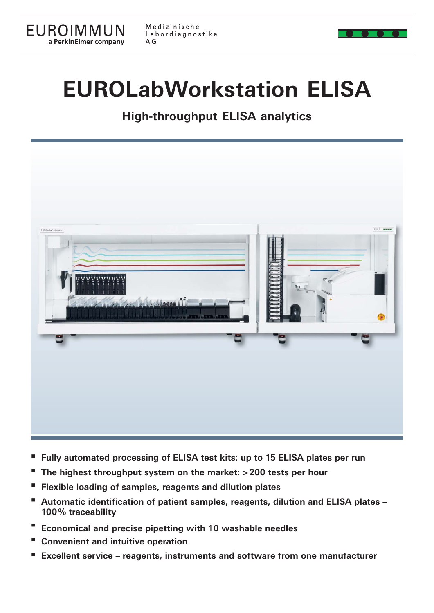

# **EUROLabWorkstation ELISA**

**High-throughput ELISA analytics**



- **Fully automated processing of ELISA test kits: up to 15 ELISA plates per run**
- **The highest throughput system on the market: > 200 tests per hour**
- **Flexible loading of samples, reagents and dilution plates**
- **Automatic identification of patient samples, reagents, dilution and ELISA plates 100 % traceability**
- **Economical and precise pipetting with 10 washable needles**
- **Convenient and intuitive operation**
- **Excellent service reagents, instruments and software from one manufacturer**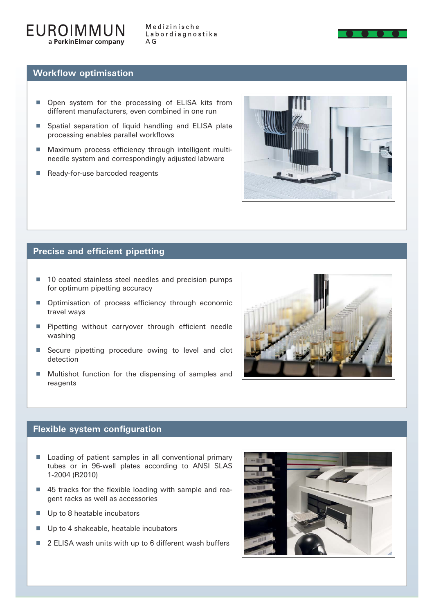

#### **Workflow optimisation**

- Open system for the processing of ELISA kits from different manufacturers, even combined in one run
- Spatial separation of liquid handling and ELISA plate processing enables parallel workflows
- Maximum process efficiency through intelligent multineedle system and correspondingly adjusted labware
- Ready-for-use barcoded reagents



#### **Precise and efficient pipetting**

- 10 coated stainless steel needles and precision pumps for optimum pipetting accuracy
- Optimisation of process efficiency through economic travel ways
- $\blacksquare$  Pipetting without carryover through efficient needle washing
- Secure pipetting procedure owing to level and clot detection
- **Multishot function for the dispensing of samples and** reagents



#### **Flexible system configuration**

- Loading of patient samples in all conventional primary tubes or in 96-well plates according to ANSI SLAS 1-2004 (R2010)
- $\blacksquare$  45 tracks for the flexible loading with sample and reagent racks as well as accessories
- Up to 8 heatable incubators
- Up to 4 shakeable, heatable incubators
- $\blacksquare$  2 ELISA wash units with up to 6 different wash buffers

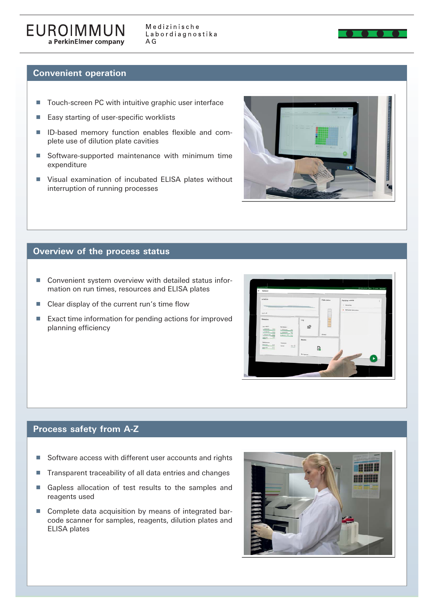

#### **Convenient operation**

- Touch-screen PC with intuitive graphic user interface
- $\blacksquare$  Easy starting of user-specific worklists
- ID-based memory function enables flexible and complete use of dilution plate cavities
- Software-supported maintenance with minimum time expenditure
- Visual examination of incubated ELISA plates without interruption of running processes



#### **Overview of the process status**

- Convenient system overview with detailed status information on run times, resources and ELISA plates
- $\blacksquare$  Clear display of the current run's time flow
- $\blacksquare$  Exact time information for pending actions for improved planning efficiency



## **Process safety from A-Z**

- $\blacksquare$  Software access with different user accounts and rights
- Transparent traceability of all data entries and changes
- Gapless allocation of test results to the samples and reagents used
- Complete data acquisition by means of integrated bar code scanner for samples, reagents, dilution plates and ELISA plates